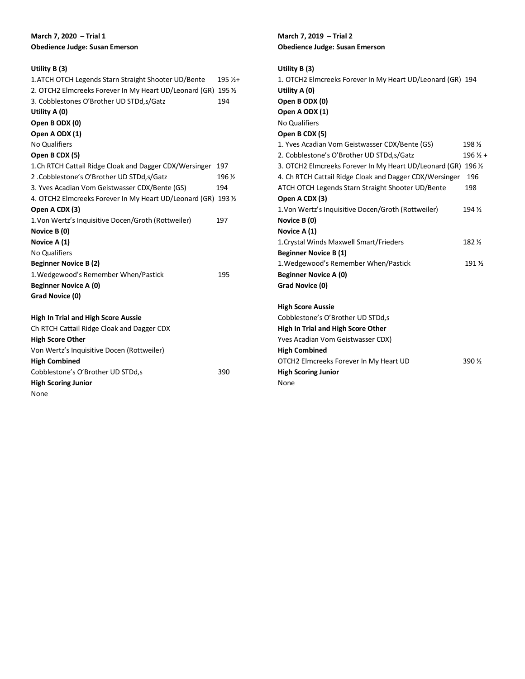### **March 7, 2020 – Trial 1 Obedience Judge: Susan Emerson**

## **Utility B (3)**

None

| 1. ATCH OTCH Legends Starn Straight Shooter UD/Bente           | $195\frac{1}{4}$ |
|----------------------------------------------------------------|------------------|
| 2. OTCH2 Elmcreeks Forever In My Heart UD/Leonard (GR) 195 1/2 |                  |
| 3. Cobblestones O'Brother UD STDd, s/Gatz                      | 194              |
| Utility A (0)                                                  |                  |
| Open B ODX (0)                                                 |                  |
| Open A ODX (1)                                                 |                  |
| <b>No Qualifiers</b>                                           |                  |
| Open B CDX (5)                                                 |                  |
| 1.Ch RTCH Cattail Ridge Cloak and Dagger CDX/Wersinger         | 197              |
| 2. Cobblestone's O'Brother UD STDd, s/Gatz                     | 196 %            |
| 3. Yves Acadian Vom Geistwasser CDX/Bente (GS)                 | 194              |
| 4. OTCH2 Elmcreeks Forever In My Heart UD/Leonard (GR) 193 1/2 |                  |
| Open A CDX (3)                                                 |                  |
| 1. Von Wertz's Inquisitive Docen/Groth (Rottweiler)            | 197              |
| Novice B (0)                                                   |                  |
| Novice A (1)                                                   |                  |
| <b>No Qualifiers</b>                                           |                  |
| <b>Beginner Novice B (2)</b>                                   |                  |
| 1. Wedgewood's Remember When/Pastick                           | 195              |
| <b>Beginner Novice A (0)</b>                                   |                  |
| Grad Novice (0)                                                |                  |
| <b>High In Trial and High Score Aussie</b>                     |                  |
| Ch RTCH Cattail Ridge Cloak and Dagger CDX                     |                  |
| <b>High Score Other</b>                                        |                  |
| Von Wertz's Inquisitive Docen (Rottweiler)                     |                  |
| <b>High Combined</b>                                           |                  |
| Cobblestone's O'Brother UD STDd,s                              | 390              |
| <b>High Scoring Junior</b>                                     |                  |

### **March 7, 2019 – Trial 2 Obedience Judge: Susan Emerson**

| Utility $B(3)$                                                 |                    |
|----------------------------------------------------------------|--------------------|
| 1. OTCH2 Elmcreeks Forever In My Heart UD/Leonard (GR) 194     |                    |
| Utility A (0)                                                  |                    |
| Open B ODX (0)                                                 |                    |
| Open A ODX (1)                                                 |                    |
| <b>No Qualifiers</b>                                           |                    |
| Open B CDX (5)                                                 |                    |
| 1. Yves Acadian Vom Geistwasser CDX/Bente (GS)                 | 198 %              |
| 2. Cobblestone's O'Brother UD STDd, s/Gatz                     | $196\frac{1}{2}$ + |
| 3. OTCH2 Elmcreeks Forever In My Heart UD/Leonard (GR) 196 1/2 |                    |
| 4. Ch RTCH Cattail Ridge Cloak and Dagger CDX/Wersinger        | 196                |
| ATCH OTCH Legends Starn Straight Shooter UD/Bente              | 198                |
| Open A CDX (3)                                                 |                    |
| 1. Von Wertz's Inquisitive Docen/Groth (Rottweiler)            | 194 $\frac{1}{2}$  |
| Novice B (0)                                                   |                    |
| Novice A (1)                                                   |                    |
| 1. Crystal Winds Maxwell Smart/Frieders                        | 182 %              |
| <b>Beginner Novice B (1)</b>                                   |                    |
| 1. Wedgewood's Remember When/Pastick                           | 191 %              |
| <b>Beginner Novice A (0)</b>                                   |                    |
| Grad Novice (0)                                                |                    |
|                                                                |                    |
| <b>High Score Aussie</b>                                       |                    |
| Cobblestone's O'Brother UD STDd,s                              |                    |
| High In Trial and High Score Other                             |                    |
| Yves Acadian Vom Geistwasser CDX)                              |                    |
| <b>High Combined</b>                                           |                    |
| OTCH2 Elmcreeks Forever In My Heart UD                         | 390 $\frac{1}{2}$  |
| <b>High Scoring Junior</b>                                     |                    |
| None                                                           |                    |